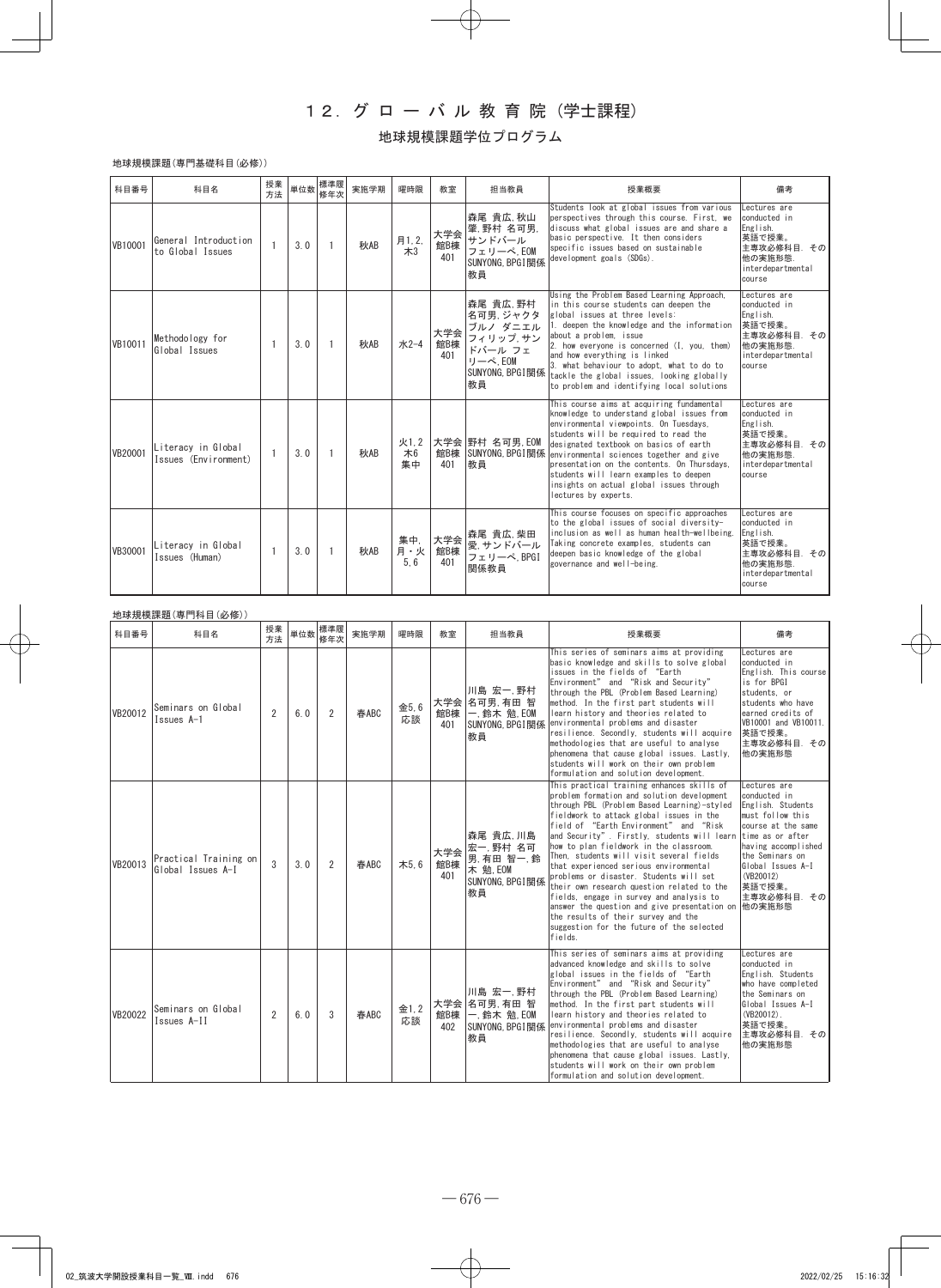## 12.グ ロ ー バ ル 教 育 院 (学士課程)

## 地球規模課題学位プログラム

## 地球規模課題(専門基礎科目(必修))

| 科目番号    | 科目名                                        | 授業<br>方法     | 単位数 | 標準履<br>修年次 | 実施学期 | 曜時限               | 教室                | 担当教員                                                                                          | 授業概要                                                                                                                                                                                                                                                                                                                                                                                                                          | 備考                                                                                                          |
|---------|--------------------------------------------|--------------|-----|------------|------|-------------------|-------------------|-----------------------------------------------------------------------------------------------|-------------------------------------------------------------------------------------------------------------------------------------------------------------------------------------------------------------------------------------------------------------------------------------------------------------------------------------------------------------------------------------------------------------------------------|-------------------------------------------------------------------------------------------------------------|
| VB10001 | General Introduction<br>to Global Issues   |              | 3.0 |            | 秋AB  | 月1,2,<br>$*3$     | 大学会<br>館B棟<br>401 | 森尾 貴広 秋山<br>肇,野村名可男,<br>サンドバール<br>フェリーペ, EOM<br>SUNYONG, BPGI 関係<br>教員                        | Students look at global issues from various<br>perspectives through this course. First, we<br>discuss what global issues are and share a<br>basic perspective. It then considers<br>specific issues based on sustainable<br>development goals (SDGs).                                                                                                                                                                         | Lectures are<br>conducted in<br>English.<br>英語で授業。<br>主専攻必修科目. その<br>他の実施形態.<br>interdepartmental<br>course |
| VB10011 | Methodology for<br>Global Issues           |              | 3.0 |            | 秋AB  | 水2-4              | 大学会<br>館B棟<br>401 | 森尾 貴広 野村<br>名可男, ジャクタ<br>ブルノ ダニエル<br>フィリップ,サン<br>ドバール フェ<br>リーペ.EOM<br>SUNYONG, BPGI 関係<br>教員 | Using the Problem Based Learning Approach,<br>in this course students can deepen the<br>global issues at three levels:<br>1. deepen the knowledge and the information<br>about a problem, issue<br>2. how everyone is concerned (I, you, them)<br>and how everything is linked<br>3. what behaviour to adopt, what to do to<br>tackle the global issues, looking globally<br>to problem and identifying local solutions       | Lectures are<br>conducted in<br>English.<br>英語で授業。<br>主専攻必修科目. その<br>他の実施形態.<br>interdepartmental<br>course |
| VB20001 | Literacy in Global<br>Issues (Environment) | $\mathbf{1}$ | 3.0 |            | 秋AB  | 火1.2<br>木6<br>集中  | 館B棟<br>401        | 大学会 野村 名可男 EOM<br>SUNYONG, BPGI関係<br>教員                                                       | This course aims at acquiring fundamental<br>knowledge to understand global issues from<br>environmental viewpoints. On Tuesdays,<br>students will be required to read the<br>designated textbook on basics of earth<br>environmental sciences together and give<br>presentation on the contents. On Thursdays.<br>students will learn examples to deepen<br>insights on actual global issues through<br>lectures by experts. | Lectures are<br>conducted in<br>English.<br>英語で授業。<br>主専攻必修科目、その<br>他の実施形態.<br>interdepartmental<br>course  |
| VB30001 | Literacy in Global<br>Issues (Human)       | $\mathbf{1}$ | 3.0 |            | 秋AB  | 集中,<br>月·火<br>5.6 | 大学会<br>館B棟<br>401 | 森尾 貴広 柴田<br>愛, サンドバール<br>フェリーペ, BPGI<br>関係教員                                                  | This course focuses on specific approaches<br>to the global issues of social diversity-<br>inclusion as well as human health-wellbeing.<br>Taking concrete examples, students can<br>deepen basic knowledge of the global<br>governance and well-being.                                                                                                                                                                       | Lectures are<br>conducted in<br>English.<br>英語で授業。<br>主専攻必修科目、その<br>他の実施形態.<br>interdepartmental<br>course  |

|         | 地球規模課題(専門科目(必修))                           |                |                |   |      |            |                   |                                                                        |                                                                                                                                                                                                                                                                                                                                                                                                                                                                                                                                                                                                                                                                                                   |                                                                                                                                                                                                                                |  |  |
|---------|--------------------------------------------|----------------|----------------|---|------|------------|-------------------|------------------------------------------------------------------------|---------------------------------------------------------------------------------------------------------------------------------------------------------------------------------------------------------------------------------------------------------------------------------------------------------------------------------------------------------------------------------------------------------------------------------------------------------------------------------------------------------------------------------------------------------------------------------------------------------------------------------------------------------------------------------------------------|--------------------------------------------------------------------------------------------------------------------------------------------------------------------------------------------------------------------------------|--|--|
| 科目番号    | 科目名                                        | 授業<br>方法       | 単位数 標準履<br>修年次 |   | 実施学期 | 曜時限        | 教室                | 担当教員                                                                   | 授業概要                                                                                                                                                                                                                                                                                                                                                                                                                                                                                                                                                                                                                                                                                              | 備考                                                                                                                                                                                                                             |  |  |
| VB20012 | Seminars on Global<br>Issues A-1           | $\overline{2}$ | 6.0            | 2 | 春ABC | 金5.6<br>応談 | 館B棟<br>401        | 川島 宏一,野村<br>大学会 名可男, 有田智<br>一. 鈴木 勉, EOM<br>SUNYONG, BPGI 関係<br>教員     | This series of seminars aims at providing<br>basic knowledge and skills to solve global<br>issues in the fields of "Earth<br>Environment" and "Risk and Security"<br>through the PBL (Problem Based Learning)<br>method. In the first part students will<br>learn history and theories related to<br>environmental problems and disaster<br>resilience. Secondly, students will acquire<br>methodologies that are useful to analyse<br>phenomena that cause global issues. Lastly,<br>students will work on their own problem<br>formulation and solution development.                                                                                                                            | Lectures are<br>conducted in<br>English. This course<br>is for BPGI<br>students, or<br>students who have<br>earned credits of<br>VB10001 and VB10011.<br>英語で授業。<br>主専攻必修科目、その<br>他の実施形態                                        |  |  |
| VB20013 | Practical Training on<br>Global Issues A-I | 3              | 3.0            | 2 | 春ABC | 木5.6       | 大学会<br>館B棟<br>401 | 森尾 貴広,川島<br>宏一,野村 名可<br>男,有田智一,鈴<br>木 勉, EOM<br>SUNYONG, BPGI 関係<br>教員 | This practical training enhances skills of<br>problem formation and solution development<br>through PBL (Problem Based Learning)-styled<br>fieldwork to attack global issues in the<br>field of "Earth Environment" and "Risk<br>and Security". Firstly, students will learn<br>how to plan fieldwork in the classroom.<br>Then, students will visit several fields<br>that experienced serious environmental<br>problems or disaster. Students will set<br>their own research question related to the<br>fields, engage in survey and analysis to<br>answer the question and give presentation on<br>the results of their survey and the<br>suggestion for the future of the selected<br>fields. | Lectures are<br>conducted in<br>English. Students<br>must follow this<br>course at the same<br>time as or after<br>having accomplished<br>the Seminars on<br>Global Issues A-I<br>(VB20012)<br>英語で授業。<br>主専攻必修科目. その<br>他の実施形態 |  |  |
| VB20022 | Seminars on Global<br>Issues A-II          | $\overline{2}$ | 6.0            | 3 | 春ABC | 金1,2<br>応談 | 館B棟<br>402        | 川島 宏一,野村<br>大学会 名可男 有田智<br>一. 鈴木 勉, EOM<br>SUNYONG. BPGI 関係<br>教員      | This series of seminars aims at providing<br>advanced knowledge and skills to solve<br>global issues in the fields of "Earth<br>Environment" and "Risk and Security"<br>through the PBL (Problem Based Learning)<br>method. In the first part students will<br>learn history and theories related to<br>environmental problems and disaster<br>resilience. Secondly, students will acquire<br>methodologies that are useful to analyse<br>phenomena that cause global issues. Lastly.<br>students will work on their own problem<br>formulation and solution development.                                                                                                                         | Lectures are<br>conducted in<br>English, Students<br>who have completed<br>the Seminars on<br>Global Issues A-I<br>$(VB20012)$ .<br>英語で授業。<br>主専攻必修科目. その<br>他の実施形態                                                            |  |  |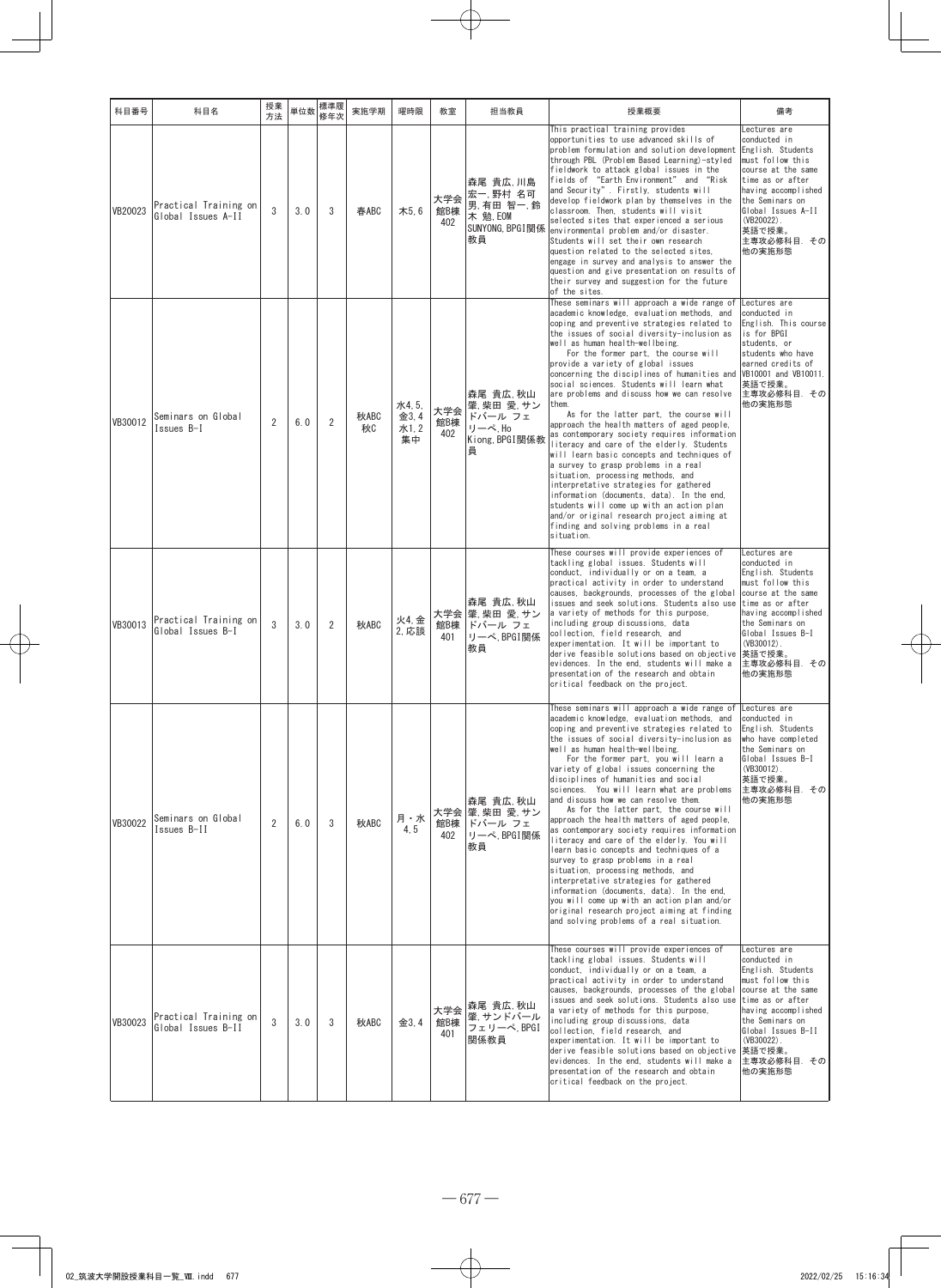| 科目番号    | 科目名                                         | 授業<br>方法       | 単位数 | 標準履<br>修年次     | 実施学期       | 曜時限                         | 教室                | 担当教員                                                                  | 授業概要                                                                                                                                                                                                                                                                                                                                                                                                                                                                                                                                                                                                                                                                                                                                                                                                                                                                                                                                                                                                                            | 備考                                                                                                                                                                                                                                  |
|---------|---------------------------------------------|----------------|-----|----------------|------------|-----------------------------|-------------------|-----------------------------------------------------------------------|---------------------------------------------------------------------------------------------------------------------------------------------------------------------------------------------------------------------------------------------------------------------------------------------------------------------------------------------------------------------------------------------------------------------------------------------------------------------------------------------------------------------------------------------------------------------------------------------------------------------------------------------------------------------------------------------------------------------------------------------------------------------------------------------------------------------------------------------------------------------------------------------------------------------------------------------------------------------------------------------------------------------------------|-------------------------------------------------------------------------------------------------------------------------------------------------------------------------------------------------------------------------------------|
| VB20023 | Practical Training on<br>Global Issues A-II | 3              | 3.0 | 3              | 春ABC       | 木5.6                        | 大学会<br>館B棟<br>402 | 森尾 貴広,川島<br>宏一,野村 名可<br>男,有田智一,鈴<br>木 勉. EOM<br>SUNYONG, BPGI関係<br>教員 | This practical training provides<br>opportunities to use advanced skills of<br>problem formulation and solution development<br>through PBL (Problem Based Learning)-styled<br>fieldwork to attack global issues in the<br>fields of "Earth Environment" and "Risk<br>and Security". Firstly, students will<br>develop fieldwork plan by themselves in the<br>classroom. Then, students will visit<br>selected sites that experienced a serious<br>environmental problem and/or disaster.<br>Students will set their own research<br>question related to the selected sites.<br>engage in survey and analysis to answer the<br>question and give presentation on results of<br>their survey and suggestion for the future<br>of the sites.                                                                                                                                                                                                                                                                                       | Lectures are<br>conducted in<br>English. Students<br>must follow this<br>course at the same<br>time as or after<br>having accomplished<br>the Seminars on<br>Global Issues A-II<br>$(VB20022)$ .<br>英語で授業。<br>主専攻必修科目.その<br>他の実施形態  |
| VB30012 | Seminars on Global<br>Issues B-I            | $\overline{2}$ | 6.0 | $\overline{2}$ | 秋ABC<br>秋0 | 水4,5,<br>金3,4<br>水1,2<br>集中 | 大学会<br>館B棟<br>402 | 森尾 貴広,秋山<br>肇.柴田 愛.サン<br>ドバール フェ<br>リーペ, Ho<br>Kiong, BPGI関係教<br>員    | These seminars will approach a wide range of<br>academic knowledge, evaluation methods, and<br>coping and preventive strategies related to<br>the issues of social diversity-inclusion as<br>well as human health-wellbeing.<br>For the former part, the course will<br>provide a variety of global issues<br>concerning the disciplines of humanities and<br>social sciences. Students will learn what<br>are problems and discuss how we can resolve<br>them.<br>As for the latter part, the course will<br>approach the health matters of aged people,<br>as contemporary society requires information<br>literacy and care of the elderly. Students<br>will learn basic concepts and techniques of<br>a survey to grasp problems in a real<br>situation, processing methods, and<br>interpretative strategies for gathered<br>information (documents, data). In the end,<br>students will come up with an action plan<br>and/or original research project aiming at<br>finding and solving problems in a real<br>situation. | Lectures are<br>conducted in<br>English. This course<br>is for BPGI<br>students, or<br>students who have<br>earned credits of<br>VB10001 and VB10011.<br>英語で授業。<br>主専攻必修科目. その<br>他の実施形態                                            |
| VB30013 | Practical Training on<br>Global Issues B-I  | 3              | 3.0 | $\overline{2}$ | 秋ABC       | 火4, 金<br>2, 応談              | 大学会<br>館B棟<br>401 | 森尾 貴広,秋山<br>肇.柴田 愛. サン<br>ドバール フェ<br>リーペ, BPGI関係<br>教員                | These courses will provide experiences of<br>tackling global issues. Students will<br>conduct, individually or on a team, a<br>practical activity in order to understand<br>causes, backgrounds, processes of the global<br>issues and seek solutions. Students also use<br>a variety of methods for this purpose,<br>including group discussions, data<br>collection, field research, and<br>experimentation. It will be important to<br>derive feasible solutions based on objective<br>evidences. In the end, students will make a<br>presentation of the research and obtain<br>critical feedback on the project.                                                                                                                                                                                                                                                                                                                                                                                                           | Lectures are<br>conducted in<br>English. Students<br>must follow this<br>course at the same<br>time as or after<br>having accomplished<br>the Seminars on<br>Global Issues B-I<br>$(VB30012)$ .<br>英語で授業。<br>主専攻必修科目. その<br>他の実施形態  |
| VB30022 | Seminars on Global<br>Issues B-II           | $\overline{2}$ | 6.0 | 3              | 秋ABC       | 月・水<br>4, 5                 | 大学会<br>館B棟<br>402 | 森尾 貴広,秋山<br>肇,柴田 愛,サン<br>ドバール フェ<br>リーペ, BPGI関係<br>教員                 | These seminars will approach a wide range of<br>academic knowledge, evaluation methods, and<br>coping and preventive strategies related to<br>the issues of social diversity-inclusion as<br>well as human health-wellbeing.<br>For the former part, you will learn a<br>variety of global issues concerning the<br>disciplines of humanities and social<br>sciences. You will learn what are problems<br>and discuss how we can resolve them.<br>As for the latter part, the course will<br>approach the health matters of aged people,<br>as contemporary society requires information<br>literacy and care of the elderly. You will<br>learn basic concepts and techniques of a<br>survey to grasp problems in a real<br>situation, processing methods, and<br>interpretative strategies for gathered<br>information (documents, data). In the end,<br>you will come up with an action plan and/or<br>original research project aiming at finding<br>and solving problems of a real situation.                               | Lectures are<br>conducted in<br>English. Students<br>who have completed<br>the Seminars on<br>Global Issues B-I<br>$(VB30012)$ .<br>英語で授業。<br> 主専攻必修科目.その<br>他の実施形態                                                                 |
| VB30023 | Practical Training on<br>Global Issues B-II | 3              | 3.0 | 3              | 秋ABC       | 金3.4                        | 大学会<br>館B棟<br>401 | 森尾 貴広,秋山<br>肇, サンドバール<br>フェリーペ, BPGI<br>関係教員                          | These courses will provide experiences of<br>tackling global issues. Students will<br>conduct, individually or on a team, a<br>practical activity in order to understand<br>causes, backgrounds, processes of the global<br>issues and seek solutions. Students also use<br>a variety of methods for this purpose,<br>including group discussions, data<br>collection, field research, and<br>experimentation. It will be important to<br>derive feasible solutions based on objective<br>evidences. In the end, students will make a<br>presentation of the research and obtain<br>critical feedback on the project.                                                                                                                                                                                                                                                                                                                                                                                                           | Lectures are<br>conducted in<br>English. Students<br>must follow this<br>course at the same<br>time as or after<br>having accomplished<br>the Seminars on<br>Global Issues B-II<br>$(VB30022)$ .<br> 英語で授業。<br>主専攻必修科目.その<br>他の実施形態 |